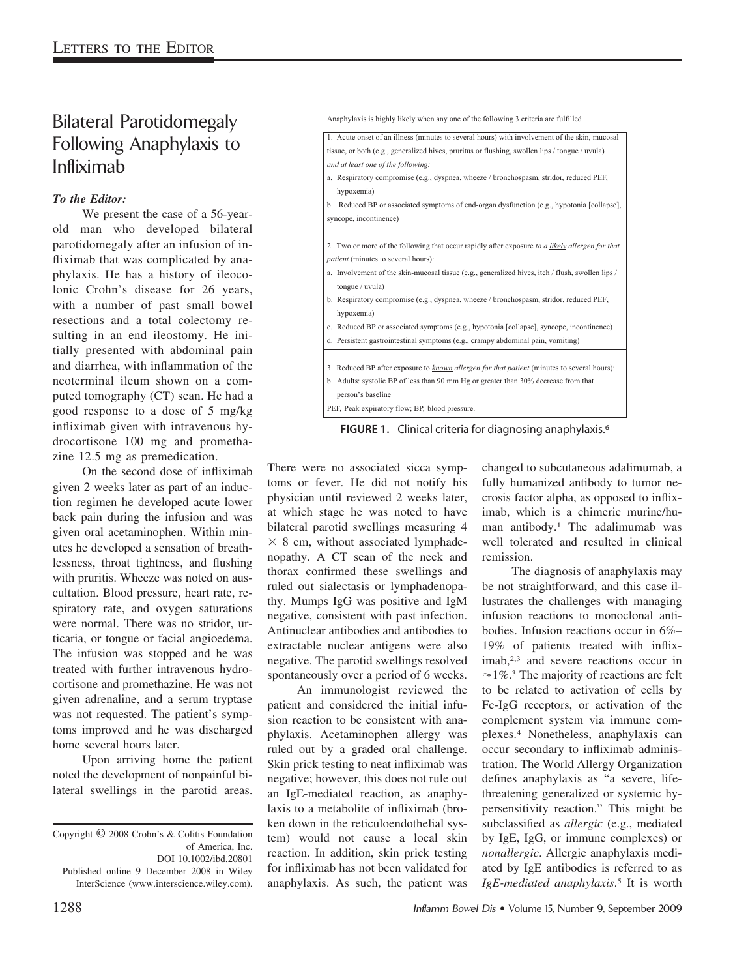## Bilateral Parotidomegaly Following Anaphylaxis to Infliximab

## *To the Editor:*

We present the case of a 56-yearold man who developed bilateral parotidomegaly after an infusion of infliximab that was complicated by anaphylaxis. He has a history of ileocolonic Crohn's disease for 26 years, with a number of past small bowel resections and a total colectomy resulting in an end ileostomy. He initially presented with abdominal pain and diarrhea, with inflammation of the neoterminal ileum shown on a computed tomography (CT) scan. He had a good response to a dose of 5 mg/kg infliximab given with intravenous hydrocortisone 100 mg and promethazine 12.5 mg as premedication.

On the second dose of infliximab given 2 weeks later as part of an induction regimen he developed acute lower back pain during the infusion and was given oral acetaminophen. Within minutes he developed a sensation of breathlessness, throat tightness, and flushing with pruritis. Wheeze was noted on auscultation. Blood pressure, heart rate, respiratory rate, and oxygen saturations were normal. There was no stridor, urticaria, or tongue or facial angioedema. The infusion was stopped and he was treated with further intravenous hydrocortisone and promethazine. He was not given adrenaline, and a serum tryptase was not requested. The patient's symptoms improved and he was discharged home several hours later.

Upon arriving home the patient noted the development of nonpainful bilateral swellings in the parotid areas.

Anaphylaxis is highly likely when any one of the following 3 criteria are fulfilled

| 1. Acute onset of an illness (minutes to several hours) with involvement of the skin, mucosal    |
|--------------------------------------------------------------------------------------------------|
| tissue, or both (e.g., generalized hives, pruritus or flushing, swollen lips / tongue / uvula)   |
| and at least one of the following:                                                               |
| a. Respiratory compromise (e.g., dyspnea, wheeze / bronchospasm, stridor, reduced PEF,           |
| hypoxemia)                                                                                       |
| b. Reduced BP or associated symptoms of end-organ dysfunction (e.g., hypotonia [collapse],       |
| syncope, incontinence)                                                                           |
|                                                                                                  |
| 2. Two or more of the following that occur rapidly after exposure to a likely allergen for that  |
| patient (minutes to several hours):                                                              |
| a. Involvement of the skin-mucosal tissue (e.g., generalized hives, itch / flush, swollen lips / |
| tongue / $uvula$ )                                                                               |
| b. Respiratory compromise (e.g., dyspnea, wheeze / bronchospasm, stridor, reduced PEF,           |
| hypoxemia)                                                                                       |
| c. Reduced BP or associated symptoms (e.g., hypotonia [collapse], syncope, incontinence)         |
| d. Persistent gastrointestinal symptoms (e.g., crampy abdominal pain, vomiting)                  |
|                                                                                                  |
| 3. Reduced BP after exposure to known allergen for that patient (minutes to several hours):      |
| b. Adults: systolic BP of less than 90 mm Hg or greater than 30% decrease from that              |
| person's baseline                                                                                |
| PEF, Peak expiratory flow; BP, blood pressure.                                                   |

**FIGURE 1.** Clinical criteria for diagnosing anaphylaxis.6

There were no associated sicca symptoms or fever. He did not notify his physician until reviewed 2 weeks later, at which stage he was noted to have bilateral parotid swellings measuring 4  $\times$  8 cm, without associated lymphadenopathy. A CT scan of the neck and thorax confirmed these swellings and ruled out sialectasis or lymphadenopathy. Mumps IgG was positive and IgM negative, consistent with past infection. Antinuclear antibodies and antibodies to extractable nuclear antigens were also negative. The parotid swellings resolved spontaneously over a period of 6 weeks.

An immunologist reviewed the patient and considered the initial infusion reaction to be consistent with anaphylaxis. Acetaminophen allergy was ruled out by a graded oral challenge. Skin prick testing to neat infliximab was negative; however, this does not rule out an IgE-mediated reaction, as anaphylaxis to a metabolite of infliximab (broken down in the reticuloendothelial system) would not cause a local skin reaction. In addition, skin prick testing for infliximab has not been validated for anaphylaxis. As such, the patient was

changed to subcutaneous adalimumab, a fully humanized antibody to tumor necrosis factor alpha, as opposed to infliximab, which is a chimeric murine/human antibody.1 The adalimumab was well tolerated and resulted in clinical remission.

The diagnosis of anaphylaxis may be not straightforward, and this case illustrates the challenges with managing infusion reactions to monoclonal antibodies. Infusion reactions occur in 6%– 19% of patients treated with infliximab,<sup>2,3</sup> and severe reactions occur in  $\approx$  1%.<sup>3</sup> The majority of reactions are felt to be related to activation of cells by Fc-IgG receptors, or activation of the complement system via immune complexes.4 Nonetheless, anaphylaxis can occur secondary to infliximab administration. The World Allergy Organization defines anaphylaxis as "a severe, lifethreatening generalized or systemic hypersensitivity reaction." This might be subclassified as *allergic* (e.g., mediated by IgE, IgG, or immune complexes) or *nonallergic*. Allergic anaphylaxis mediated by IgE antibodies is referred to as *IgE-mediated anaphylaxis*. <sup>5</sup> It is worth

Copyright © 2008 Crohn's & Colitis Foundation of America, Inc. DOI 10.1002/ibd.20801 Published online 9 December 2008 in Wiley InterScience (www.interscience.wiley.com).